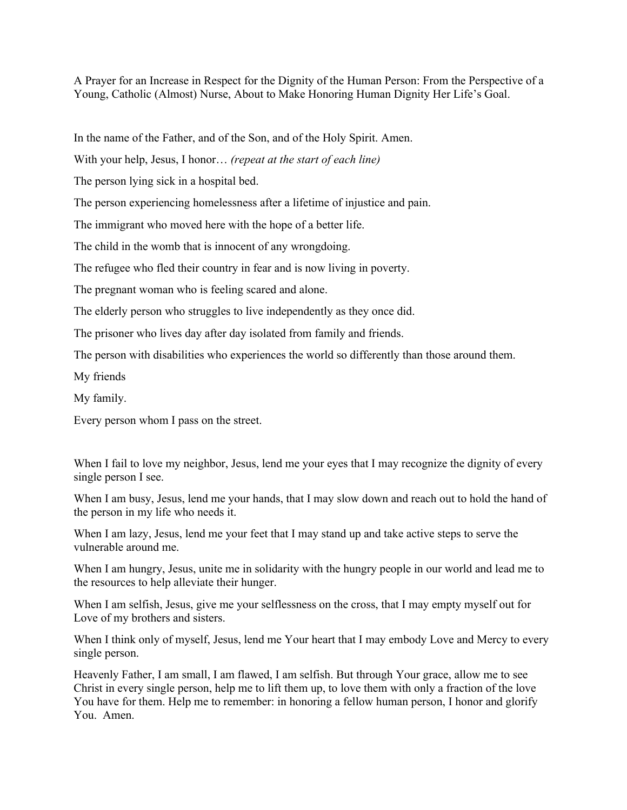A Prayer for an Increase in Respect for the Dignity of the Human Person: From the Perspective of a Young, Catholic (Almost) Nurse, About to Make Honoring Human Dignity Her Life's Goal.

In the name of the Father, and of the Son, and of the Holy Spirit. Amen.

With your help, Jesus, I honor… *(repeat at the start of each line)*

The person lying sick in a hospital bed.

The person experiencing homelessness after a lifetime of injustice and pain.

The immigrant who moved here with the hope of a better life.

The child in the womb that is innocent of any wrongdoing.

The refugee who fled their country in fear and is now living in poverty.

The pregnant woman who is feeling scared and alone.

The elderly person who struggles to live independently as they once did.

The prisoner who lives day after day isolated from family and friends.

The person with disabilities who experiences the world so differently than those around them.

My friends

My family.

Every person whom I pass on the street.

When I fail to love my neighbor, Jesus, lend me your eyes that I may recognize the dignity of every single person I see.

When I am busy, Jesus, lend me your hands, that I may slow down and reach out to hold the hand of the person in my life who needs it.

When I am lazy, Jesus, lend me your feet that I may stand up and take active steps to serve the vulnerable around me.

When I am hungry, Jesus, unite me in solidarity with the hungry people in our world and lead me to the resources to help alleviate their hunger.

When I am selfish, Jesus, give me your selflessness on the cross, that I may empty myself out for Love of my brothers and sisters.

When I think only of myself, Jesus, lend me Your heart that I may embody Love and Mercy to every single person.

Heavenly Father, I am small, I am flawed, I am selfish. But through Your grace, allow me to see Christ in every single person, help me to lift them up, to love them with only a fraction of the love You have for them. Help me to remember: in honoring a fellow human person, I honor and glorify You. Amen.